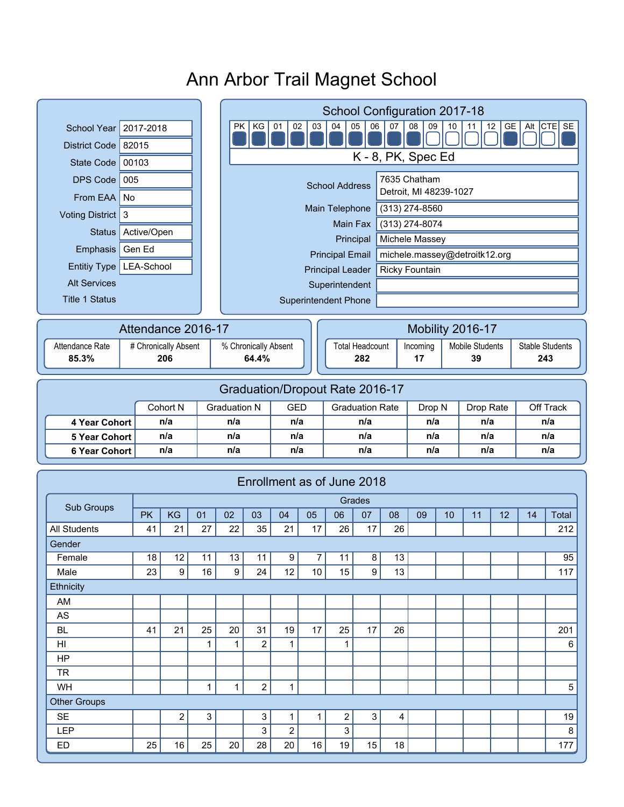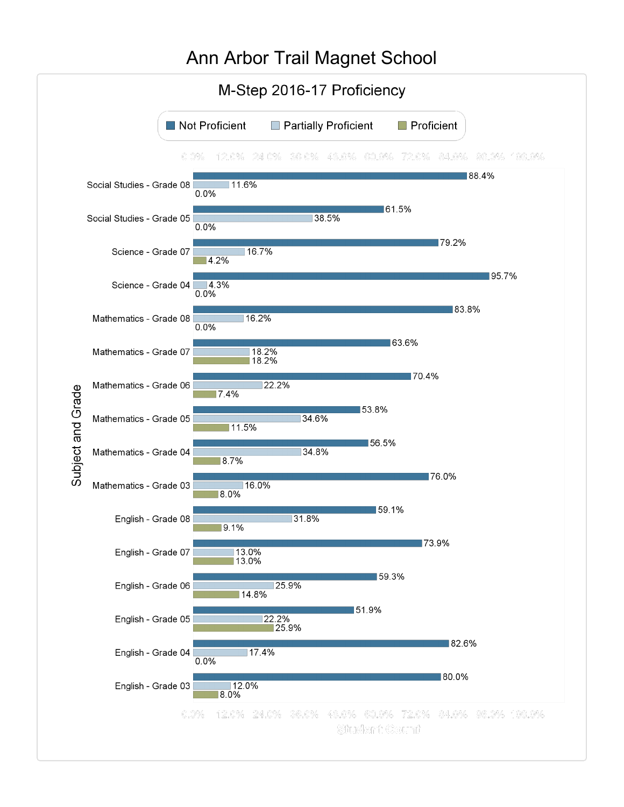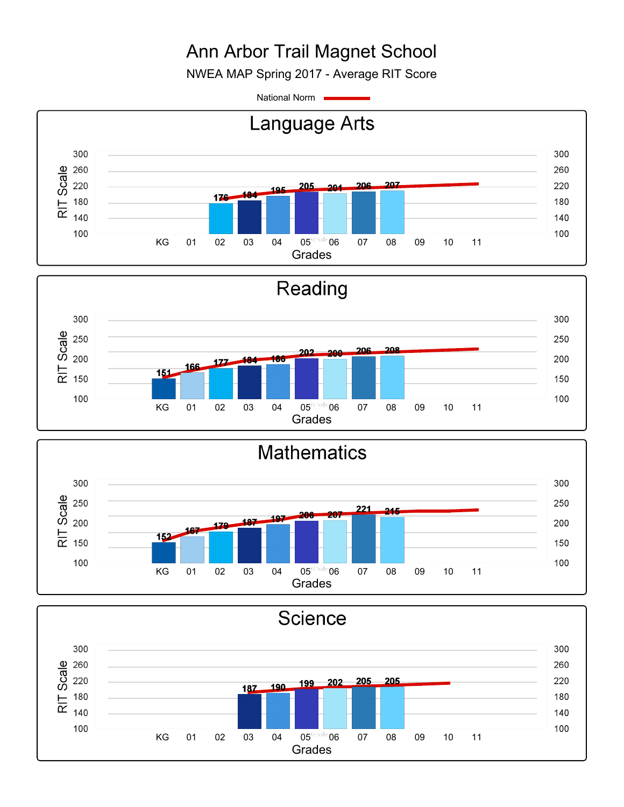NWEA MAP Spring 2017 - Average RIT Score

National Norm